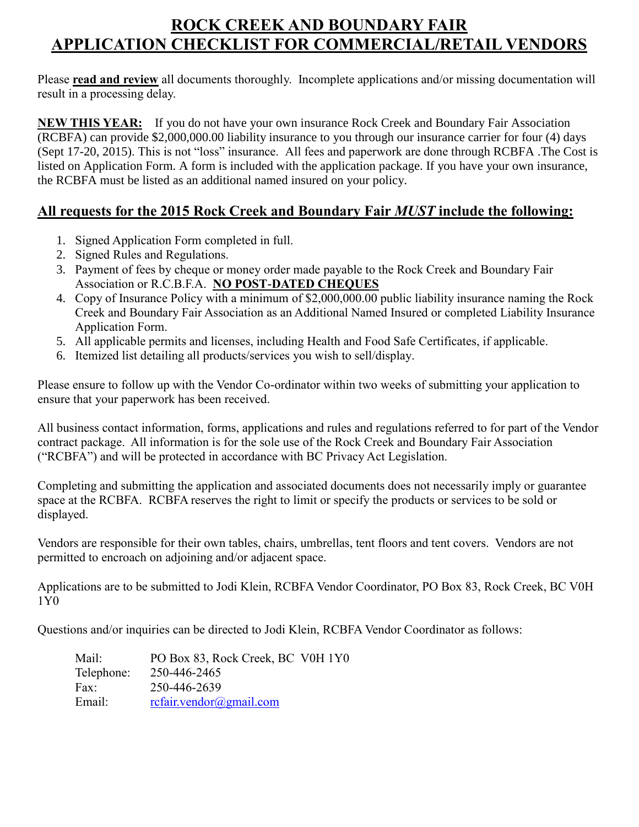# **ROCK CREEK AND BOUNDARY FAIR APPLICATION CHECKLIST FOR COMMERCIAL/RETAIL VENDORS**

Please **read and review** all documents thoroughly. Incomplete applications and/or missing documentation will result in a processing delay.

**NEW THIS YEAR:** If you do not have your own insurance Rock Creek and Boundary Fair Association (RCBFA) can provide \$2,000,000.00 liability insurance to you through our insurance carrier for four (4) days (Sept 17-20, 2015). This is not "loss" insurance. All fees and paperwork are done through RCBFA .The Cost is listed on Application Form. A form is included with the application package. If you have your own insurance, the RCBFA must be listed as an additional named insured on your policy.

## **All requests for the 2015 Rock Creek and Boundary Fair** *MUST* **include the following:**

- 1. Signed Application Form completed in full.
- 2. Signed Rules and Regulations.
- 3. Payment of fees by cheque or money order made payable to the Rock Creek and Boundary Fair Association or R.C.B.F.A. **NO POST-DATED CHEQUES**
- 4. Copy of Insurance Policy with a minimum of \$2,000,000.00 public liability insurance naming the Rock Creek and Boundary Fair Association as an Additional Named Insured or completed Liability Insurance Application Form.
- 5. All applicable permits and licenses, including Health and Food Safe Certificates, if applicable.
- 6. Itemized list detailing all products/services you wish to sell/display.

Please ensure to follow up with the Vendor Co-ordinator within two weeks of submitting your application to ensure that your paperwork has been received.

All business contact information, forms, applications and rules and regulations referred to for part of the Vendor contract package. All information is for the sole use of the Rock Creek and Boundary Fair Association ("RCBFA") and will be protected in accordance with BC Privacy Act Legislation.

Completing and submitting the application and associated documents does not necessarily imply or guarantee space at the RCBFA. RCBFA reserves the right to limit or specify the products or services to be sold or displayed.

Vendors are responsible for their own tables, chairs, umbrellas, tent floors and tent covers. Vendors are not permitted to encroach on adjoining and/or adjacent space.

Applications are to be submitted to Jodi Klein, RCBFA Vendor Coordinator, PO Box 83, Rock Creek, BC V0H 1Y0

Questions and/or inquiries can be directed to Jodi Klein, RCBFA Vendor Coordinator as follows:

| Mail:      | PO Box 83, Rock Creek, BC V0H 1Y0 |
|------------|-----------------------------------|
| Telephone: | 250-446-2465                      |
| Fax:       | 250-446-2639                      |
| Email:     | rcfair.vendor@gmail.com           |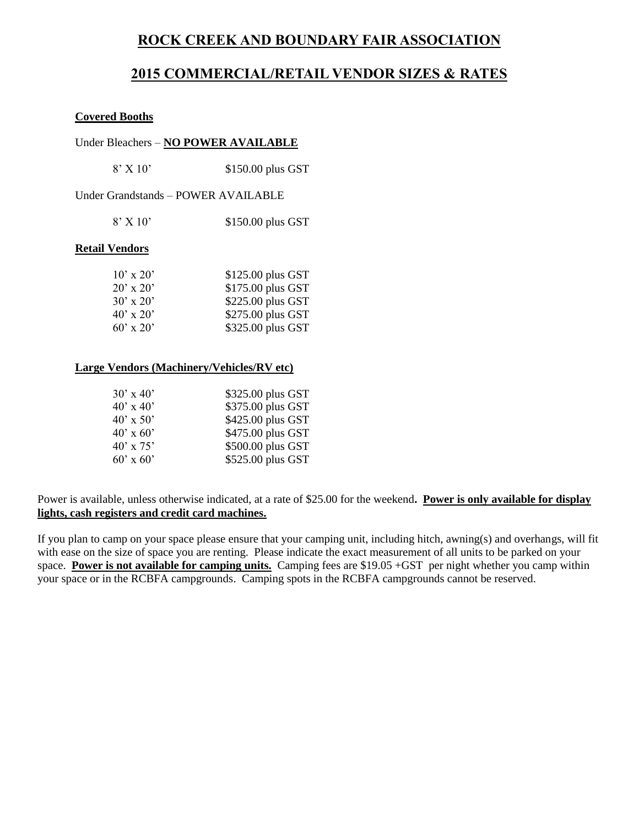## **ROCK CREEK AND BOUNDARY FAIR ASSOCIATION**

## **2015 COMMERCIAL/RETAIL VENDOR SIZES & RATES**

#### **Covered Booths**

#### Under Bleachers – **NO POWER AVAILABLE**

Under Grandstands – POWER AVAILABLE

| $8'$ X 10' | \$150.00 plus GST |  |
|------------|-------------------|--|
|            |                   |  |

#### **Retail Vendors**

| $10' \times 20'$ | \$125.00 plus GST |
|------------------|-------------------|
| $20' \times 20'$ | \$175.00 plus GST |
| $30' \times 20'$ | \$225.00 plus GST |
| $40' \times 20'$ | \$275.00 plus GST |
| $60'$ x 20'      | \$325.00 plus GST |

#### **Large Vendors (Machinery/Vehicles/RV etc)**

| $30' \times 40'$ | \$325.00 plus GST |
|------------------|-------------------|
| $40' \times 40'$ | \$375.00 plus GST |
| $40' \times 50'$ | \$425.00 plus GST |
| $40' \times 60'$ | \$475.00 plus GST |
| $40' \times 75'$ | \$500.00 plus GST |
| $60' \times 60'$ | \$525.00 plus GST |

Power is available, unless otherwise indicated, at a rate of \$25.00 for the weekend**. Power is only available for display lights, cash registers and credit card machines.**

If you plan to camp on your space please ensure that your camping unit, including hitch, awning(s) and overhangs, will fit with ease on the size of space you are renting. Please indicate the exact measurement of all units to be parked on your space. **Power is not available for camping units.** Camping fees are \$19.05 +GST per night whether you camp within your space or in the RCBFA campgrounds. Camping spots in the RCBFA campgrounds cannot be reserved.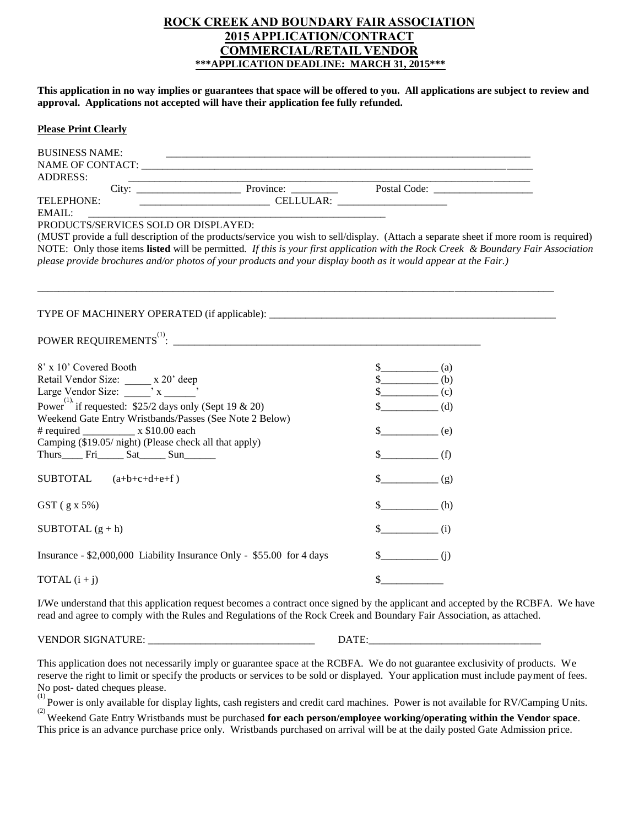#### **ROCK CREEK AND BOUNDARY FAIR ASSOCIATION 2015 APPLICATION/CONTRACT COMMERCIAL/RETAIL VENDOR \*\*\*APPLICATION DEADLINE: MARCH 31, 2015\*\*\***

**This application in no way implies or guarantees that space will be offered to you. All applications are subject to review and approval. Applications not accepted will have their application fee fully refunded.**

#### **Please Print Clearly**

| <b>BUSINESS NAME:</b>                                                                                                                                                                                                                                     |                                   |
|-----------------------------------------------------------------------------------------------------------------------------------------------------------------------------------------------------------------------------------------------------------|-----------------------------------|
|                                                                                                                                                                                                                                                           |                                   |
| <b>ADDRESS:</b>                                                                                                                                                                                                                                           |                                   |
|                                                                                                                                                                                                                                                           |                                   |
| TELEPHONE:                                                                                                                                                                                                                                                |                                   |
| EMAIL:                                                                                                                                                                                                                                                    |                                   |
| PRODUCTS/SERVICES SOLD OR DISPLAYED:                                                                                                                                                                                                                      |                                   |
| (MUST provide a full description of the products/service you wish to sell/display. (Attach a separate sheet if more room is required)                                                                                                                     |                                   |
| NOTE: Only those items listed will be permitted. If this is your first application with the Rock Creek & Boundary Fair Association                                                                                                                        |                                   |
| please provide brochures and/or photos of your products and your display booth as it would appear at the Fair.)                                                                                                                                           |                                   |
|                                                                                                                                                                                                                                                           |                                   |
|                                                                                                                                                                                                                                                           |                                   |
|                                                                                                                                                                                                                                                           |                                   |
|                                                                                                                                                                                                                                                           |                                   |
|                                                                                                                                                                                                                                                           |                                   |
|                                                                                                                                                                                                                                                           |                                   |
|                                                                                                                                                                                                                                                           |                                   |
| 8' x 10' Covered Booth                                                                                                                                                                                                                                    | $\frac{\sqrt{2}}{2}$ (a)          |
|                                                                                                                                                                                                                                                           | $s$ (b)                           |
| Retail Vendor Size: x 20' deep<br>Large Vendor Size: x _________, x _______,                                                                                                                                                                              | $\frac{\cosh(x)}{2}$ (c)          |
| Power <sup>(1)</sup> , if requested: $\sqrt[52]{2}$ days only (Sept 19 & 20)                                                                                                                                                                              | $\begin{pmatrix} 0 \end{pmatrix}$ |
| Weekend Gate Entry Wristbands/Passes (See Note 2 Below)                                                                                                                                                                                                   |                                   |
|                                                                                                                                                                                                                                                           | $s$ (e)                           |
| Camping (\$19.05/ night) (Please check all that apply)                                                                                                                                                                                                    |                                   |
|                                                                                                                                                                                                                                                           | $\frac{\sqrt{2}}{2}$ (f)          |
|                                                                                                                                                                                                                                                           |                                   |
| SUBTOTAL $(a+b+c+d+e+f)$                                                                                                                                                                                                                                  | $s$ (g)                           |
|                                                                                                                                                                                                                                                           |                                   |
|                                                                                                                                                                                                                                                           | $\frac{\epsilon}{\epsilon}$ (h)   |
| $GST$ (g x 5%)                                                                                                                                                                                                                                            |                                   |
| SUBTOTAL $(g + h)$                                                                                                                                                                                                                                        | $\frac{\S_{\text{max}}(i)}{i}$    |
|                                                                                                                                                                                                                                                           |                                   |
|                                                                                                                                                                                                                                                           |                                   |
| Insurance - \$2,000,000 Liability Insurance Only - \$55.00 for 4 days                                                                                                                                                                                     | $\frac{\S_{\text{max}}(j)}{j}$    |
|                                                                                                                                                                                                                                                           | $\sim$                            |
| TOTAL $(i + j)$                                                                                                                                                                                                                                           |                                   |
| I/We understand that this application request becomes a contract once signed by the applicant and accepted by the RCBFA. We have<br>read and agree to comply with the Rules and Regulations of the Rock Creek and Boundary Fair Association, as attached. |                                   |

VENDOR SIGNATURE: \_\_\_\_\_\_\_\_\_\_\_\_\_\_\_\_\_\_\_\_\_\_\_\_\_\_\_\_\_\_\_\_ DATE:\_\_\_\_\_\_\_\_\_\_\_\_\_\_\_\_\_\_\_\_\_\_\_\_\_\_\_\_\_\_\_\_\_

This application does not necessarily imply or guarantee space at the RCBFA. We do not guarantee exclusivity of products. We reserve the right to limit or specify the products or services to be sold or displayed. Your application must include payment of fees. No post- dated cheques please.

<sup>(1)</sup> Power is only available for display lights, cash registers and credit card machines. Power is not available for RV/Camping Units.

(2) Weekend Gate Entry Wristbands must be purchased **for each person/employee working/operating within the Vendor space**. This price is an advance purchase price only. Wristbands purchased on arrival will be at the daily posted Gate Admission price.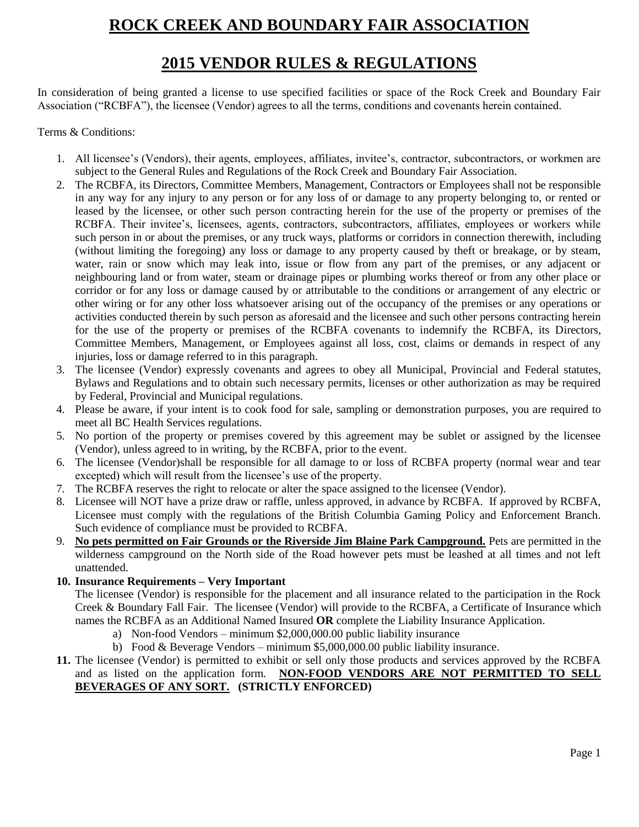# **ROCK CREEK AND BOUNDARY FAIR ASSOCIATION**

## **2015 VENDOR RULES & REGULATIONS**

In consideration of being granted a license to use specified facilities or space of the Rock Creek and Boundary Fair Association ("RCBFA"), the licensee (Vendor) agrees to all the terms, conditions and covenants herein contained.

#### Terms & Conditions:

- 1. All licensee's (Vendors), their agents, employees, affiliates, invitee's, contractor, subcontractors, or workmen are subject to the General Rules and Regulations of the Rock Creek and Boundary Fair Association.
- 2. The RCBFA, its Directors, Committee Members, Management, Contractors or Employees shall not be responsible in any way for any injury to any person or for any loss of or damage to any property belonging to, or rented or leased by the licensee, or other such person contracting herein for the use of the property or premises of the RCBFA. Their invitee's, licensees, agents, contractors, subcontractors, affiliates, employees or workers while such person in or about the premises, or any truck ways, platforms or corridors in connection therewith, including (without limiting the foregoing) any loss or damage to any property caused by theft or breakage, or by steam, water, rain or snow which may leak into, issue or flow from any part of the premises, or any adjacent or neighbouring land or from water, steam or drainage pipes or plumbing works thereof or from any other place or corridor or for any loss or damage caused by or attributable to the conditions or arrangement of any electric or other wiring or for any other loss whatsoever arising out of the occupancy of the premises or any operations or activities conducted therein by such person as aforesaid and the licensee and such other persons contracting herein for the use of the property or premises of the RCBFA covenants to indemnify the RCBFA, its Directors, Committee Members, Management, or Employees against all loss, cost, claims or demands in respect of any injuries, loss or damage referred to in this paragraph.
- 3. The licensee (Vendor) expressly covenants and agrees to obey all Municipal, Provincial and Federal statutes, Bylaws and Regulations and to obtain such necessary permits, licenses or other authorization as may be required by Federal, Provincial and Municipal regulations.
- 4. Please be aware, if your intent is to cook food for sale, sampling or demonstration purposes, you are required to meet all BC Health Services regulations.
- 5. No portion of the property or premises covered by this agreement may be sublet or assigned by the licensee (Vendor), unless agreed to in writing, by the RCBFA, prior to the event.
- 6. The licensee (Vendor)shall be responsible for all damage to or loss of RCBFA property (normal wear and tear excepted) which will result from the licensee's use of the property.
- 7. The RCBFA reserves the right to relocate or alter the space assigned to the licensee (Vendor).
- 8. Licensee will NOT have a prize draw or raffle, unless approved, in advance by RCBFA. If approved by RCBFA, Licensee must comply with the regulations of the British Columbia Gaming Policy and Enforcement Branch. Such evidence of compliance must be provided to RCBFA.
- 9. **No pets permitted on Fair Grounds or the Riverside Jim Blaine Park Campground.** Pets are permitted in the wilderness campground on the North side of the Road however pets must be leashed at all times and not left unattended.

#### **10. Insurance Requirements – Very Important**

The licensee (Vendor) is responsible for the placement and all insurance related to the participation in the Rock Creek & Boundary Fall Fair. The licensee (Vendor) will provide to the RCBFA, a Certificate of Insurance which names the RCBFA as an Additional Named Insured **OR** complete the Liability Insurance Application.

- a) Non-food Vendors minimum \$2,000,000.00 public liability insurance
- b) Food & Beverage Vendors minimum \$5,000,000.00 public liability insurance.
- **11.** The licensee (Vendor) is permitted to exhibit or sell only those products and services approved by the RCBFA and as listed on the application form. **NON-FOOD VENDORS ARE NOT PERMITTED TO SELL BEVERAGES OF ANY SORT. (STRICTLY ENFORCED)**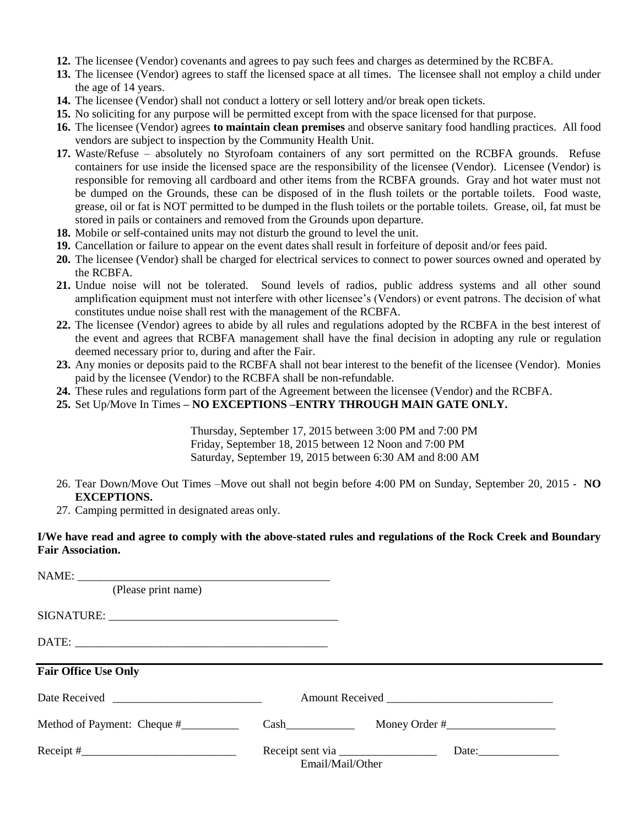- **12.** The licensee (Vendor) covenants and agrees to pay such fees and charges as determined by the RCBFA.
- **13.** The licensee (Vendor) agrees to staff the licensed space at all times. The licensee shall not employ a child under the age of 14 years.
- **14.** The licensee (Vendor) shall not conduct a lottery or sell lottery and/or break open tickets.
- **15.** No soliciting for any purpose will be permitted except from with the space licensed for that purpose.
- **16.** The licensee (Vendor) agrees **to maintain clean premises** and observe sanitary food handling practices. All food vendors are subject to inspection by the Community Health Unit.
- **17.** Waste/Refuse absolutely no Styrofoam containers of any sort permitted on the RCBFA grounds. Refuse containers for use inside the licensed space are the responsibility of the licensee (Vendor). Licensee (Vendor) is responsible for removing all cardboard and other items from the RCBFA grounds. Gray and hot water must not be dumped on the Grounds, these can be disposed of in the flush toilets or the portable toilets. Food waste, grease, oil or fat is NOT permitted to be dumped in the flush toilets or the portable toilets. Grease, oil, fat must be stored in pails or containers and removed from the Grounds upon departure.
- **18.** Mobile or self-contained units may not disturb the ground to level the unit.
- **19.** Cancellation or failure to appear on the event dates shall result in forfeiture of deposit and/or fees paid.
- **20.** The licensee (Vendor) shall be charged for electrical services to connect to power sources owned and operated by the RCBFA.
- **21.** Undue noise will not be tolerated. Sound levels of radios, public address systems and all other sound amplification equipment must not interfere with other licensee's (Vendors) or event patrons. The decision of what constitutes undue noise shall rest with the management of the RCBFA.
- **22.** The licensee (Vendor) agrees to abide by all rules and regulations adopted by the RCBFA in the best interest of the event and agrees that RCBFA management shall have the final decision in adopting any rule or regulation deemed necessary prior to, during and after the Fair.
- **23.** Any monies or deposits paid to the RCBFA shall not bear interest to the benefit of the licensee (Vendor). Monies paid by the licensee (Vendor) to the RCBFA shall be non-refundable.
- **24.** These rules and regulations form part of the Agreement between the licensee (Vendor) and the RCBFA.
- **25.** Set Up/Move In Times **– NO EXCEPTIONS –ENTRY THROUGH MAIN GATE ONLY.**

Thursday, September 17, 2015 between 3:00 PM and 7:00 PM Friday, September 18, 2015 between 12 Noon and 7:00 PM Saturday, September 19, 2015 between 6:30 AM and 8:00 AM

- 26. Tear Down/Move Out Times –Move out shall not begin before 4:00 PM on Sunday, September 20, 2015 **NO EXCEPTIONS.**
- 27. Camping permitted in designated areas only.

#### **I/We have read and agree to comply with the above-stated rules and regulations of the Rock Creek and Boundary Fair Association.**

| (Please print name)         |                  |                                |
|-----------------------------|------------------|--------------------------------|
|                             |                  |                                |
|                             |                  |                                |
| <b>Fair Office Use Only</b> |                  |                                |
|                             |                  |                                |
| Method of Payment: Cheque # |                  | $Cash$ $Month$ $Money Order #$ |
| $\text{Receipt}$ #          | Email/Mail/Other | Date: <u>Date:</u>             |